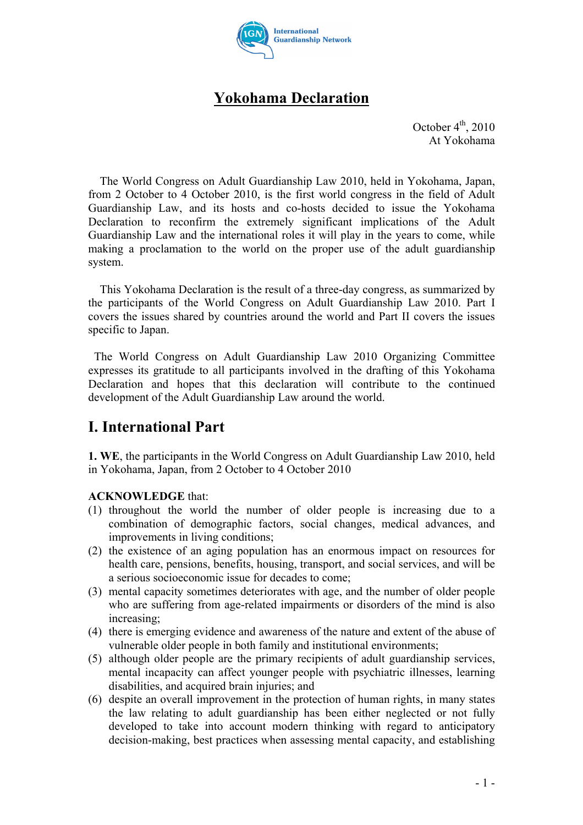

# **Yokohama Declaration**

October  $4<sup>th</sup>$ , 2010 At Yokohama

The World Congress on Adult Guardianship Law 2010, held in Yokohama, Japan, from 2 October to 4 October 2010, is the first world congress in the field of Adult Guardianship Law, and its hosts and co-hosts decided to issue the Yokohama Declaration to reconfirm the extremely significant implications of the Adult Guardianship Law and the international roles it will play in the years to come, while making a proclamation to the world on the proper use of the adult guardianship system.

This Yokohama Declaration is the result of a three-day congress, as summarized by the participants of the World Congress on Adult Guardianship Law 2010. Part I covers the issues shared by countries around the world and Part II covers the issues specific to Japan.

The World Congress on Adult Guardianship Law 2010 Organizing Committee expresses its gratitude to all participants involved in the drafting of this Yokohama Declaration and hopes that this declaration will contribute to the continued development of the Adult Guardianship Law around the world.

### **I. International Part**

**1. WE**, the participants in the World Congress on Adult Guardianship Law 2010, held in Yokohama, Japan, from 2 October to 4 October 2010

### **ACKNOWLEDGE** that:

- (1) throughout the world the number of older people is increasing due to a combination of demographic factors, social changes, medical advances, and improvements in living conditions;
- (2) the existence of an aging population has an enormous impact on resources for health care, pensions, benefits, housing, transport, and social services, and will be a serious socioeconomic issue for decades to come;
- (3) mental capacity sometimes deteriorates with age, and the number of older people who are suffering from age-related impairments or disorders of the mind is also increasing;
- (4) there is emerging evidence and awareness of the nature and extent of the abuse of vulnerable older people in both family and institutional environments;
- (5) although older people are the primary recipients of adult guardianship services, mental incapacity can affect younger people with psychiatric illnesses, learning disabilities, and acquired brain injuries; and
- (6) despite an overall improvement in the protection of human rights, in many states the law relating to adult guardianship has been either neglected or not fully developed to take into account modern thinking with regard to anticipatory decision-making, best practices when assessing mental capacity, and establishing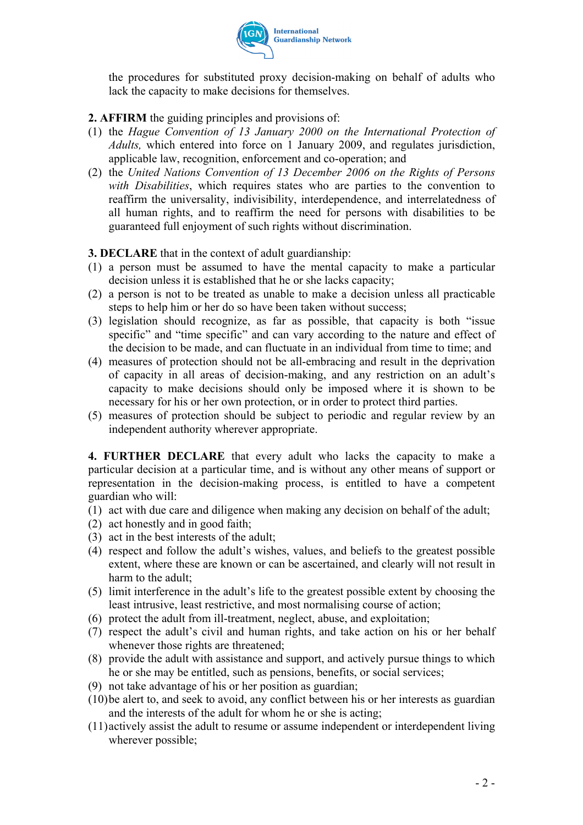

the procedures for substituted proxy decision-making on behalf of adults who lack the capacity to make decisions for themselves.

#### **2. AFFIRM** the guiding principles and provisions of:

- (1) the *Hague Convention of 13 January 2000 on the International Protection of Adults,* which entered into force on 1 January 2009, and regulates jurisdiction, applicable law, recognition, enforcement and co-operation; and
- (2) the *United Nations Convention of 13 December 2006 on the Rights of Persons with Disabilities*, which requires states who are parties to the convention to reaffirm the universality, indivisibility, interdependence, and interrelatedness of all human rights, and to reaffirm the need for persons with disabilities to be guaranteed full enjoyment of such rights without discrimination.

#### **3. DECLARE** that in the context of adult guardianship:

- (1) a person must be assumed to have the mental capacity to make a particular decision unless it is established that he or she lacks capacity;
- (2) a person is not to be treated as unable to make a decision unless all practicable steps to help him or her do so have been taken without success;
- (3) legislation should recognize, as far as possible, that capacity is both "issue specific" and "time specific" and can vary according to the nature and effect of the decision to be made, and can fluctuate in an individual from time to time; and
- (4) measures of protection should not be all-embracing and result in the deprivation of capacity in all areas of decision-making, and any restriction on an adult's capacity to make decisions should only be imposed where it is shown to be necessary for his or her own protection, or in order to protect third parties.
- (5) measures of protection should be subject to periodic and regular review by an independent authority wherever appropriate.

**4. FURTHER DECLARE** that every adult who lacks the capacity to make a particular decision at a particular time, and is without any other means of support or representation in the decision-making process, is entitled to have a competent guardian who will:

- (1) act with due care and diligence when making any decision on behalf of the adult;
- (2) act honestly and in good faith;
- (3) act in the best interests of the adult;
- (4) respect and follow the adult's wishes, values, and beliefs to the greatest possible extent, where these are known or can be ascertained, and clearly will not result in harm to the adult;
- (5) limit interference in the adult's life to the greatest possible extent by choosing the least intrusive, least restrictive, and most normalising course of action;
- (6) protect the adult from ill-treatment, neglect, abuse, and exploitation;
- (7) respect the adult's civil and human rights, and take action on his or her behalf whenever those rights are threatened;
- (8) provide the adult with assistance and support, and actively pursue things to which he or she may be entitled, such as pensions, benefits, or social services;
- (9) not take advantage of his or her position as guardian;
- (10)be alert to, and seek to avoid, any conflict between his or her interests as guardian and the interests of the adult for whom he or she is acting;
- (11)actively assist the adult to resume or assume independent or interdependent living wherever possible;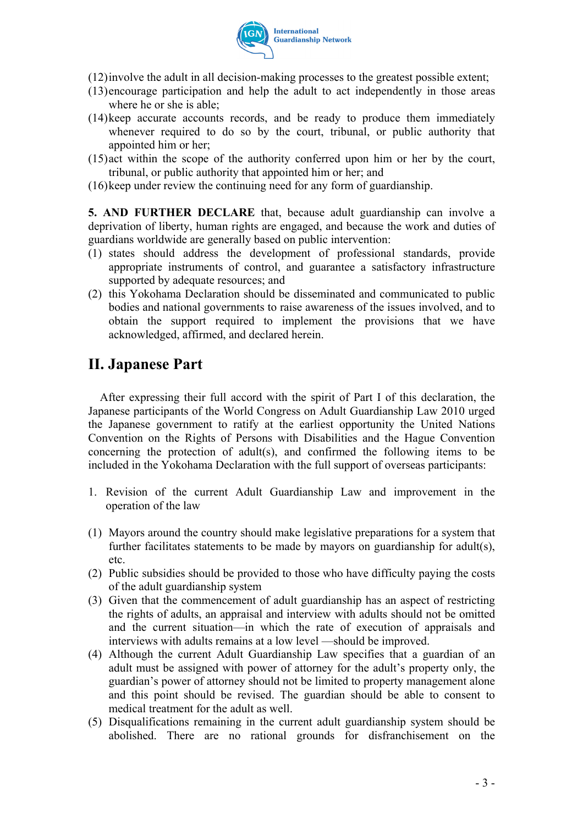

- (12)involve the adult in all decision-making processes to the greatest possible extent;
- (13)encourage participation and help the adult to act independently in those areas where he or she is able;
- (14)keep accurate accounts records, and be ready to produce them immediately whenever required to do so by the court, tribunal, or public authority that appointed him or her;
- (15)act within the scope of the authority conferred upon him or her by the court, tribunal, or public authority that appointed him or her; and
- (16)keep under review the continuing need for any form of guardianship.

**5. AND FURTHER DECLARE** that, because adult guardianship can involve a deprivation of liberty, human rights are engaged, and because the work and duties of guardians worldwide are generally based on public intervention:

- (1) states should address the development of professional standards, provide appropriate instruments of control, and guarantee a satisfactory infrastructure supported by adequate resources; and
- (2) this Yokohama Declaration should be disseminated and communicated to public bodies and national governments to raise awareness of the issues involved, and to obtain the support required to implement the provisions that we have acknowledged, affirmed, and declared herein.

## **II. Japanese Part**

After expressing their full accord with the spirit of Part I of this declaration, the Japanese participants of the World Congress on Adult Guardianship Law 2010 urged the Japanese government to ratify at the earliest opportunity the United Nations Convention on the Rights of Persons with Disabilities and the Hague Convention concerning the protection of adult(s), and confirmed the following items to be included in the Yokohama Declaration with the full support of overseas participants:

- 1. Revision of the current Adult Guardianship Law and improvement in the operation of the law
- (1) Mayors around the country should make legislative preparations for a system that further facilitates statements to be made by mayors on guardianship for adult(s), etc.
- (2) Public subsidies should be provided to those who have difficulty paying the costs of the adult guardianship system
- (3) Given that the commencement of adult guardianship has an aspect of restricting the rights of adults, an appraisal and interview with adults should not be omitted and the current situation—in which the rate of execution of appraisals and interviews with adults remains at a low level —should be improved.
- (4) Although the current Adult Guardianship Law specifies that a guardian of an adult must be assigned with power of attorney for the adult's property only, the guardian's power of attorney should not be limited to property management alone and this point should be revised. The guardian should be able to consent to medical treatment for the adult as well.
- (5) Disqualifications remaining in the current adult guardianship system should be abolished. There are no rational grounds for disfranchisement on the